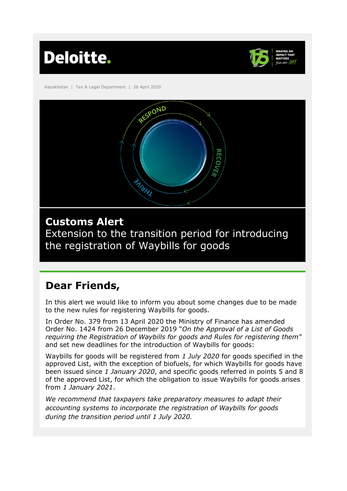



Kazakhstan | Tax & Legal Department | 20 April 2020



## **Customs Alert**

Extension to the transition period for introducing the registration of Waybills for goods

# **Dear Friends,**

In this alert we would like to inform you about some changes due to be made to the new rules for registering Waybills for goods.

In Order No. 379 from 13 April 2020 the Ministry of Finance has amended Order No. 1424 from 26 December 2019 "*On the Approval of a List of Goods requiring the Registration of Waybills for goods and Rules for registering them"* and set new deadlines for the introduction of Waybills for goods:

Waybills for goods will be registered from *1 July 2020* for goods specified in the approved List, with the exception of biofuels, for which Waybills for goods have been issued since *1 January 2020*, and specific goods referred in points 5 and 8 of the approved List, for which the obligation to issue Waybills for goods arises from *1 January 2021*.

*We recommend that taxpayers take preparatory measures to adapt their accounting systems to incorporate the registration of Waybills for goods during the transition period until 1 July 2020.*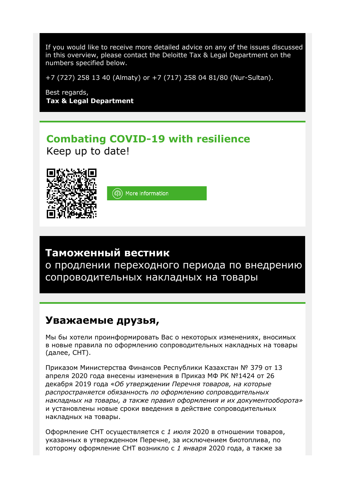If you would like to receive more detailed advice on any of the issues discussed in this overview, please contact the Deloitte Tax & Legal Department on the numbers specified below.

+7 (727) 258 13 40 (Almaty) or +7 (717) 258 04 81/80 (Nur-Sultan).

Best regards, **Tax & Legal Department**

#### **Combating COVID-19 with resilience** Keep up to date!



(6) More information

## **Таможенный вестник**

о продлении переходного периода по внедрению сопроводительных накладных на товары

#### **Уважаемые друзья,**

Мы бы хотели проинформировать Вас о некоторых изменениях, вносимых в новые правила по оформлению сопроводительных накладных на товары (далее, СНТ).

Приказом Министерства Финансов Республики Казахстан № 379 от 13 апреля 2020 года внесены изменения в Приказ МФ РК №1424 от 26 декабря 2019 года «*Об утверждении Перечня товаров, на которые распространяется обязанность по оформлению сопроводительных накладных на товары, а также правил оформления и их документооборота»* и установлены новые сроки введения в действие сопроводительных накладных на товары.

Оформление СНТ осуществляется с *1 июля* 2020 в отношении товаров, указанных в утвержденном Перечне, за исключением биотоплива, по которому оформление СНТ возникло с *1 января* 2020 года, а также за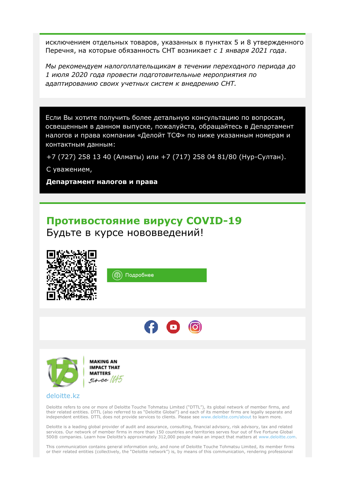исключением отдельных товаров, указанных в пунктах 5 и 8 утвержденного Перечня, на которые обязанность СНТ возникает *с 1 января 2021 года*.

*Мы рекомендуем налогоплательщикам в течении переходного периода до 1 июля 2020 года провести подготовительные мероприятия по адаптированию своих учетных систем к внедрению СНТ.*

Если Вы хотите получить более детальную консультацию по вопросам, освещенным в данном выпуске, пожалуйста, обращайтесь в Департамент налогов и права компании «Делойт ТСФ» по ниже указанным номерам и контактным данным:

+7 (727) 258 13 40 (Алматы) или +7 (717) 258 04 81/80 (Нур-Султан).

С уважением,

**Департамент налогов и права**

### **Противостояние вирусу COVID-19**

Будьте в курсе нововведений!







#### [deloitte.kz](http://www2.deloitte.com/kz/en.html)

Deloitte refers to one or more of Deloitte Touche Tohmatsu Limited ("DTTL"), its global network of member firms, and their related entities. DTTL (also referred to as "Deloitte Global") and each of its member firms are legally separate and independent entities. DTTL does not provide services to clients. Please see [www.deloitte.com/about](http://www.deloitte.com/about) to learn more.

Deloitte is a leading global provider of audit and assurance, consulting, financial advisory, risk advisory, tax and related services. Our network of member firms in more than 150 countries and territories serves four out of five Fortune Global 500® companies. Learn how Deloitte's approximately 312,000 people make an impact that matters at [www.deloitte.com.](http://www.deloitte.com/)

This communication contains general information only, and none of Deloitte Touche Tohmatsu Limited, its member firms or their related entities (collectively, the "Deloitte network") is, by means of this communication, rendering professional